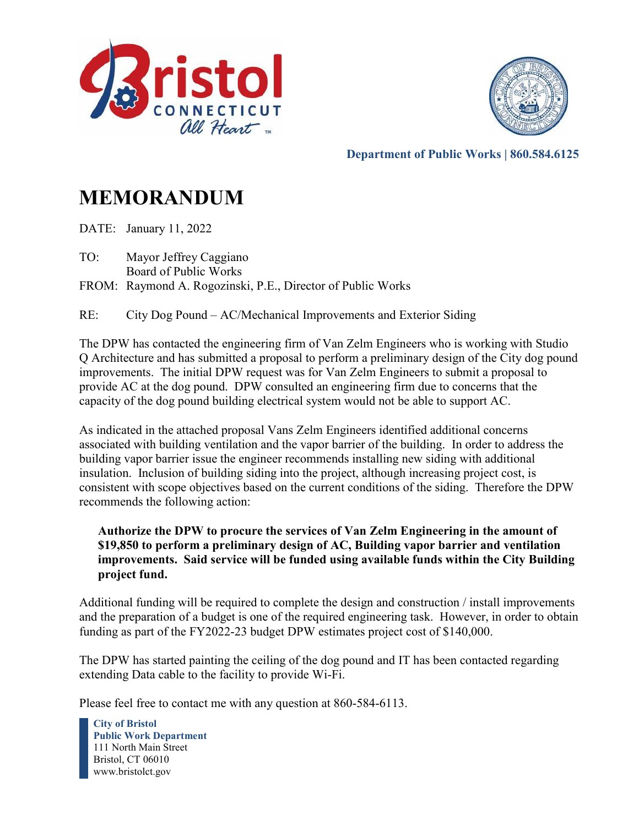



**Department of Public Works | 860.584.6125** 

# **MEMORANDUM**

DATE: January 11, 2022

TO: Mayor Jeffrey Caggiano Board of Public Works

FROM: Raymond A. Rogozinski, P.E., Director of Public Works

RE: City Dog Pound – AC/Mechanical Improvements and Exterior Siding

The DPW has contacted the engineering firm of Van Zelm Engineers who is working with Studio Q Architecture and has submitted a proposal to perform a preliminary design of the City dog pound improvements. The initial DPW request was for Van Zelm Engineers to submit a proposal to provide AC at the dog pound. DPW consulted an engineering firm due to concerns that the capacity of the dog pound building electrical system would not be able to support AC.

As indicated in the attached proposal Vans Zelm Engineers identified additional concerns associated with building ventilation and the vapor barrier of the building. In order to address the building vapor barrier issue the engineer recommends installing new siding with additional insulation. Inclusion of building siding into the project, although increasing project cost, is consistent with scope objectives based on the current conditions of the siding. Therefore the DPW recommends the following action:

## **Authorize the DPW to procure the services of Van Zelm Engineering in the amount of \$19,850 to perform a preliminary design of AC, Building vapor barrier and ventilation improvements. Said service will be funded using available funds within the City Building project fund.**

Additional funding will be required to complete the design and construction / install improvements and the preparation of a budget is one of the required engineering task. However, in order to obtain funding as part of the FY2022-23 budget DPW estimates project cost of \$140,000.

The DPW has started painting the ceiling of the dog pound and IT has been contacted regarding extending Data cable to the facility to provide Wi-Fi.

Please feel free to contact me with any question at 860-584-6113.

**City of Bristol Public Work Department** 111 North Main Street Bristol, CT 06010 www.bristolct.gov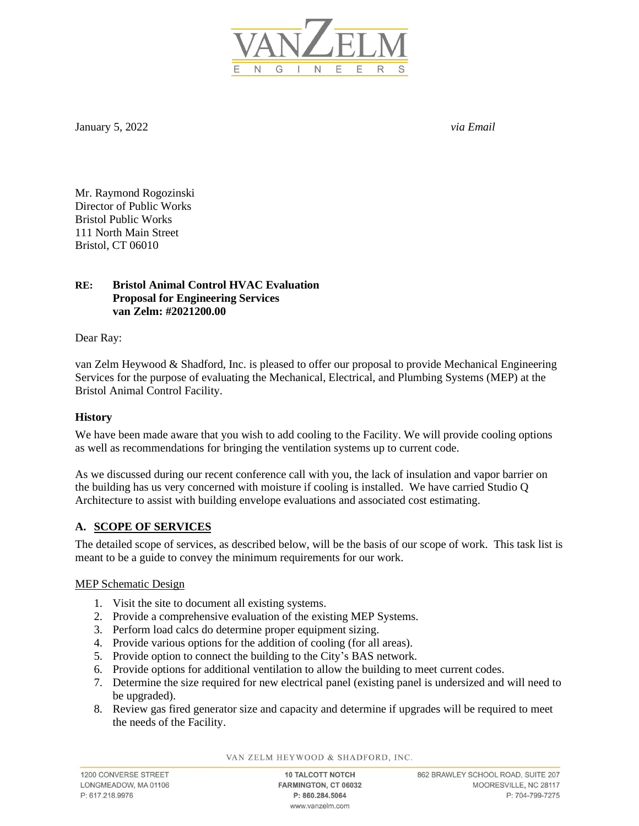

January 5, 2022 *via Email*

Mr. Raymond Rogozinski Director of Public Works Bristol Public Works 111 North Main Street Bristol, CT 06010

#### **RE: Bristol Animal Control HVAC Evaluation Proposal for Engineering Services van Zelm: #2021200.00**

Dear Ray:

van Zelm Heywood & Shadford, Inc. is pleased to offer our proposal to provide Mechanical Engineering Services for the purpose of evaluating the Mechanical, Electrical, and Plumbing Systems (MEP) at the Bristol Animal Control Facility.

#### **History**

We have been made aware that you wish to add cooling to the Facility. We will provide cooling options as well as recommendations for bringing the ventilation systems up to current code.

As we discussed during our recent conference call with you, the lack of insulation and vapor barrier on the building has us very concerned with moisture if cooling is installed. We have carried Studio Q Architecture to assist with building envelope evaluations and associated cost estimating.

#### **A. SCOPE OF SERVICES**

The detailed scope of services, as described below, will be the basis of our scope of work. This task list is meant to be a guide to convey the minimum requirements for our work.

MEP Schematic Design

- 1. Visit the site to document all existing systems.
- 2. Provide a comprehensive evaluation of the existing MEP Systems.
- 3. Perform load calcs do determine proper equipment sizing.
- 4. Provide various options for the addition of cooling (for all areas).
- 5. Provide option to connect the building to the City's BAS network.
- 6. Provide options for additional ventilation to allow the building to meet current codes.
- 7. Determine the size required for new electrical panel (existing panel is undersized and will need to be upgraded).
- 8. Review gas fired generator size and capacity and determine if upgrades will be required to meet the needs of the Facility.

VAN ZELM HEYWOOD & SHADFORD, INC.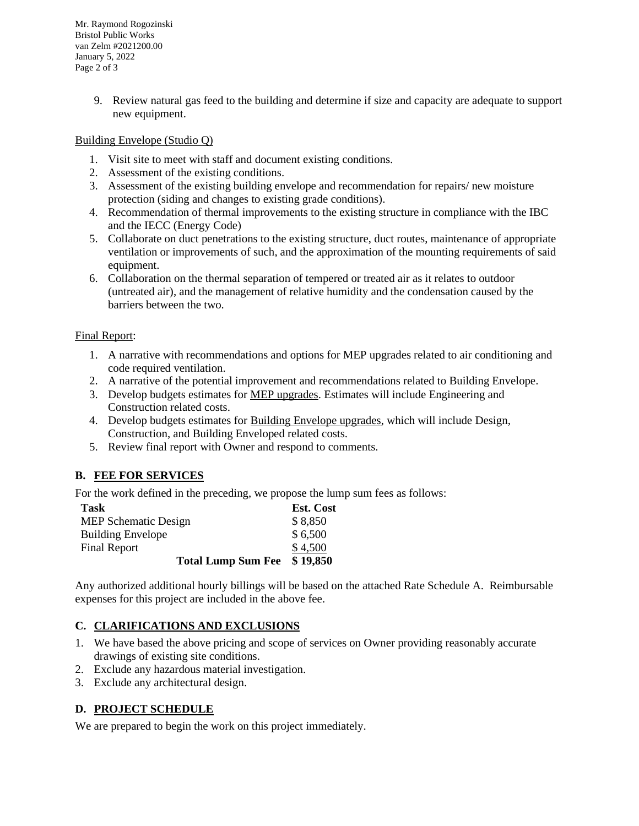Mr. Raymond Rogozinski Bristol Public Works van Zelm #2021200.00 January 5, 2022 Page 2 of 3

> 9. Review natural gas feed to the building and determine if size and capacity are adequate to support new equipment.

#### Building Envelope (Studio Q)

- 1. Visit site to meet with staff and document existing conditions.
- 2. Assessment of the existing conditions.
- 3. Assessment of the existing building envelope and recommendation for repairs/ new moisture protection (siding and changes to existing grade conditions).
- 4. Recommendation of thermal improvements to the existing structure in compliance with the IBC and the IECC (Energy Code)
- 5. Collaborate on duct penetrations to the existing structure, duct routes, maintenance of appropriate ventilation or improvements of such, and the approximation of the mounting requirements of said equipment.
- 6. Collaboration on the thermal separation of tempered or treated air as it relates to outdoor (untreated air), and the management of relative humidity and the condensation caused by the barriers between the two.

#### Final Report:

- 1. A narrative with recommendations and options for MEP upgrades related to air conditioning and code required ventilation.
- 2. A narrative of the potential improvement and recommendations related to Building Envelope.
- 3. Develop budgets estimates for MEP upgrades. Estimates will include Engineering and Construction related costs.
- 4. Develop budgets estimates for Building Envelope upgrades, which will include Design, Construction, and Building Enveloped related costs.
- 5. Review final report with Owner and respond to comments.

#### **B. FEE FOR SERVICES**

For the work defined in the preceding, we propose the lump sum fees as follows:

| Task                        | <b>Est. Cost</b> |
|-----------------------------|------------------|
| <b>MEP Schematic Design</b> | \$8,850          |
| <b>Building Envelope</b>    | \$6,500          |
| <b>Final Report</b>         | \$4,500          |
| <b>Total Lump Sum Fee</b>   | \$19,850         |

Any authorized additional hourly billings will be based on the attached Rate Schedule A. Reimbursable expenses for this project are included in the above fee.

#### **C. CLARIFICATIONS AND EXCLUSIONS**

- 1. We have based the above pricing and scope of services on Owner providing reasonably accurate drawings of existing site conditions.
- 2. Exclude any hazardous material investigation.
- 3. Exclude any architectural design.

#### **D. PROJECT SCHEDULE**

We are prepared to begin the work on this project immediately.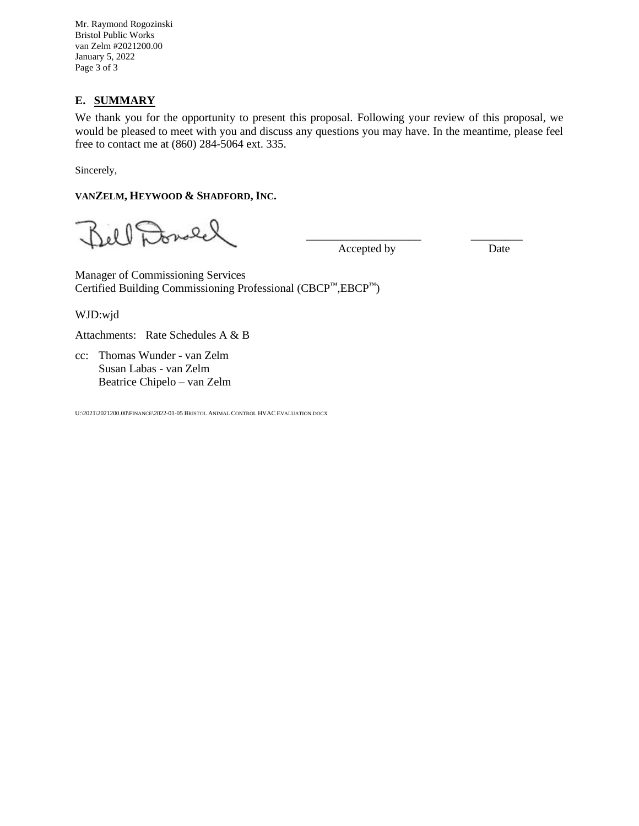Mr. Raymond Rogozinski Bristol Public Works van Zelm #2021200.00 January 5, 2022 Page 3 of 3

### **E. SUMMARY**

We thank you for the opportunity to present this proposal. Following your review of this proposal, we would be pleased to meet with you and discuss any questions you may have. In the meantime, please feel free to contact me at (860) 284-5064 ext. 335.

Sincerely,

#### **VANZELM, HEYWOOD & SHADFORD, INC.**

Jell Donald

Accepted by Date

 $\frac{1}{2}$  ,  $\frac{1}{2}$  ,  $\frac{1}{2}$  ,  $\frac{1}{2}$  ,  $\frac{1}{2}$  ,  $\frac{1}{2}$  ,  $\frac{1}{2}$  ,  $\frac{1}{2}$  ,  $\frac{1}{2}$  ,  $\frac{1}{2}$  ,  $\frac{1}{2}$  ,  $\frac{1}{2}$  ,  $\frac{1}{2}$  ,  $\frac{1}{2}$  ,  $\frac{1}{2}$  ,  $\frac{1}{2}$  ,  $\frac{1}{2}$  ,  $\frac{1}{2}$  ,  $\frac{1$ 

Manager of Commissioning Services Certified Building Commissioning Professional (CBCP™,EBCP™)

WJD:wjd

Attachments: Rate Schedules A & B

cc: Thomas Wunder - van Zelm Susan Labas - van Zelm Beatrice Chipelo – van Zelm

U:\2021\2021200.00\FINANCE\2022-01-05 BRISTOL ANIMAL CONTROL HVAC EVALUATION.DOCX